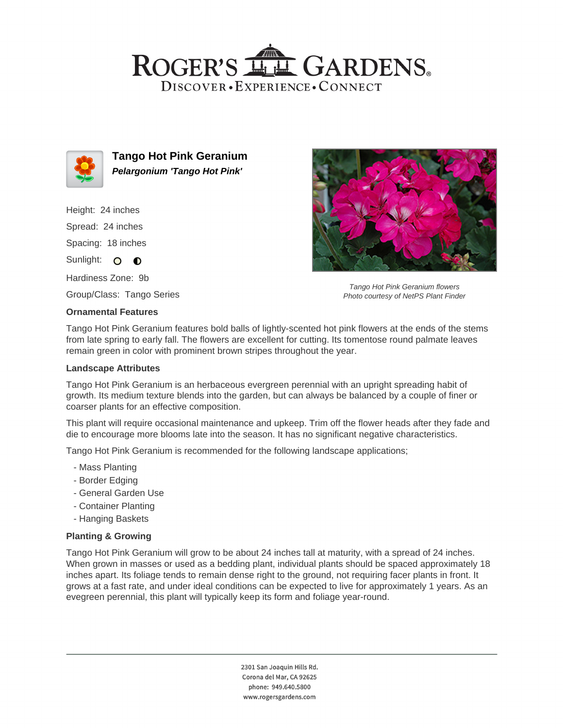## ROGER'S LLE GARDENS. DISCOVER · EXPERIENCE · CONNECT



**Tango Hot Pink Geranium Pelargonium 'Tango Hot Pink'**

Height: 24 inches Spread: 24 inches Spacing: 18 inches

Sunlight: O **O** 

Hardiness Zone: 9b

Group/Class: Tango Series

#### **Ornamental Features**

Tango Hot Pink Geranium flowers Photo courtesy of NetPS Plant Finder

Tango Hot Pink Geranium features bold balls of lightly-scented hot pink flowers at the ends of the stems from late spring to early fall. The flowers are excellent for cutting. Its tomentose round palmate leaves remain green in color with prominent brown stripes throughout the year.

#### **Landscape Attributes**

Tango Hot Pink Geranium is an herbaceous evergreen perennial with an upright spreading habit of growth. Its medium texture blends into the garden, but can always be balanced by a couple of finer or coarser plants for an effective composition.

This plant will require occasional maintenance and upkeep. Trim off the flower heads after they fade and die to encourage more blooms late into the season. It has no significant negative characteristics.

Tango Hot Pink Geranium is recommended for the following landscape applications;

- Mass Planting
- Border Edging
- General Garden Use
- Container Planting
- Hanging Baskets

### **Planting & Growing**

Tango Hot Pink Geranium will grow to be about 24 inches tall at maturity, with a spread of 24 inches. When grown in masses or used as a bedding plant, individual plants should be spaced approximately 18 inches apart. Its foliage tends to remain dense right to the ground, not requiring facer plants in front. It grows at a fast rate, and under ideal conditions can be expected to live for approximately 1 years. As an evegreen perennial, this plant will typically keep its form and foliage year-round.

> 2301 San Joaquin Hills Rd. Corona del Mar, CA 92625 phone: 949.640.5800 www.rogersgardens.com